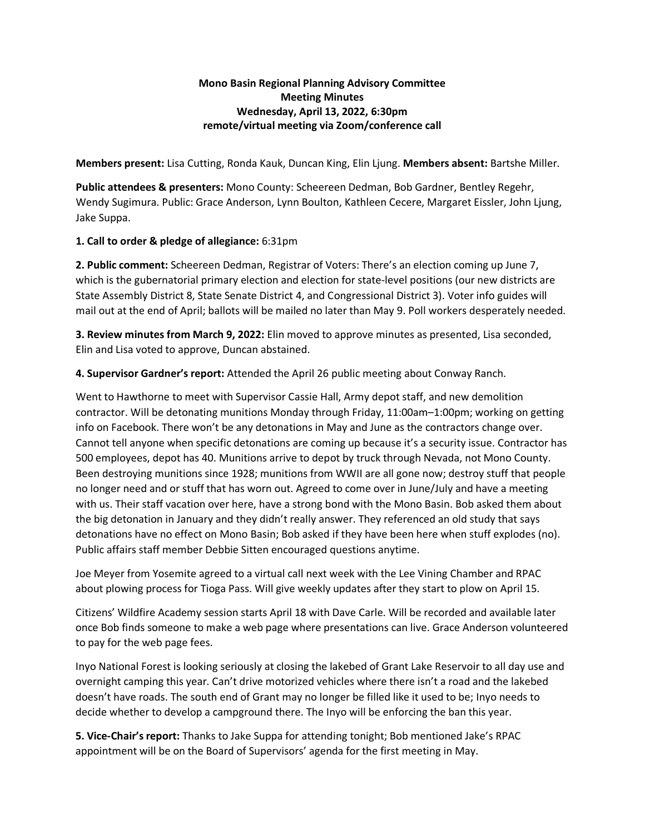# **Mono Basin Regional Planning Advisory Committee Meeting Minutes Wednesday, April 13, 2022, 6:30pm remote/virtual meeting via Zoom/conference call**

**Members present:** Lisa Cutting, Ronda Kauk, Duncan King, Elin Ljung. **Members absent:** Bartshe Miller.

**Public attendees & presenters:** Mono County: Scheereen Dedman, Bob Gardner, Bentley Regehr, Wendy Sugimura. Public: Grace Anderson, Lynn Boulton, Kathleen Cecere, Margaret Eissler, John Ljung, Jake Suppa.

## **1. Call to order & pledge of allegiance:** 6:31pm

**2. Public comment:** Scheereen Dedman, Registrar of Voters: There's an election coming up June 7, which is the gubernatorial primary election and election for state-level positions (our new districts are State Assembly District 8, State Senate District 4, and Congressional District 3). Voter info guides will mail out at the end of April; ballots will be mailed no later than May 9. Poll workers desperately needed.

**3. Review minutes from March 9, 2022:** Elin moved to approve minutes as presented, Lisa seconded, Elin and Lisa voted to approve, Duncan abstained.

**4. Supervisor Gardner's report:** Attended the April 26 public meeting about Conway Ranch.

Went to Hawthorne to meet with Supervisor Cassie Hall, Army depot staff, and new demolition contractor. Will be detonating munitions Monday through Friday, 11:00am–1:00pm; working on getting info on Facebook. There won't be any detonations in May and June as the contractors change over. Cannot tell anyone when specific detonations are coming up because it's a security issue. Contractor has 500 employees, depot has 40. Munitions arrive to depot by truck through Nevada, not Mono County. Been destroying munitions since 1928; munitions from WWII are all gone now; destroy stuff that people no longer need and or stuff that has worn out. Agreed to come over in June/July and have a meeting with us. Their staff vacation over here, have a strong bond with the Mono Basin. Bob asked them about the big detonation in January and they didn't really answer. They referenced an old study that says detonations have no effect on Mono Basin; Bob asked if they have been here when stuff explodes (no). Public affairs staff member Debbie Sitten encouraged questions anytime.

Joe Meyer from Yosemite agreed to a virtual call next week with the Lee Vining Chamber and RPAC about plowing process for Tioga Pass. Will give weekly updates after they start to plow on April 15.

Citizens' Wildfire Academy session starts April 18 with Dave Carle. Will be recorded and available later once Bob finds someone to make a web page where presentations can live. Grace Anderson volunteered to pay for the web page fees.

Inyo National Forest is looking seriously at closing the lakebed of Grant Lake Reservoir to all day use and overnight camping this year. Can't drive motorized vehicles where there isn't a road and the lakebed doesn't have roads. The south end of Grant may no longer be filled like it used to be; Inyo needs to decide whether to develop a campground there. The Inyo will be enforcing the ban this year.

**5. Vice-Chair's report:** Thanks to Jake Suppa for attending tonight; Bob mentioned Jake's RPAC appointment will be on the Board of Supervisors' agenda for the first meeting in May.